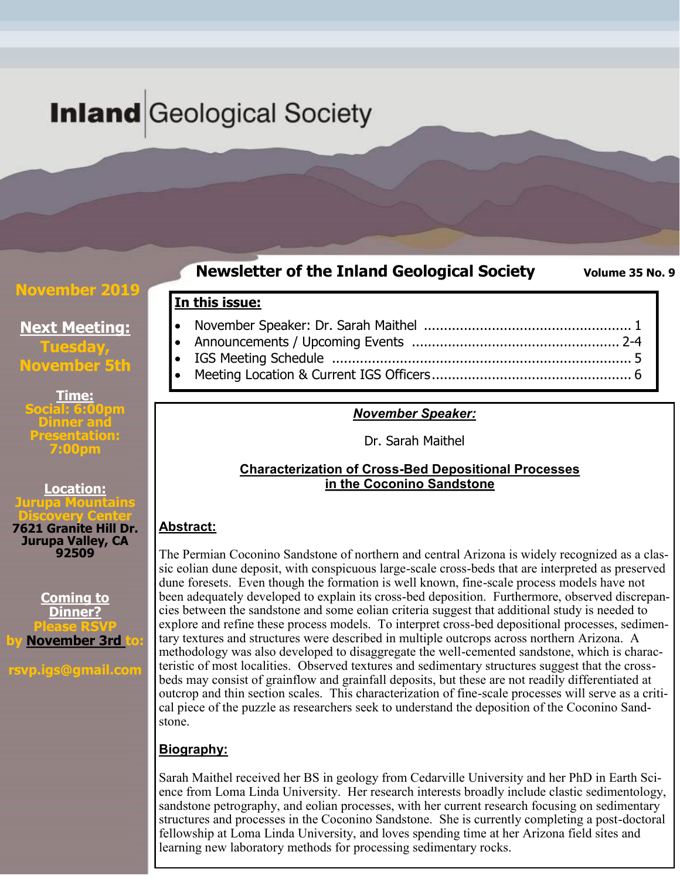# **Inland** Geological Society

#### **November 2019**

### **Newsletter of the Inland Geological Society** Volume 35 No. 9

### **Next Meeting: Tuesday, November 5th**

**Time: Social: 6:00pm Dinner and Presentation: 7:00pm**

**Location: Jurupa Mountains Discovery Center**

**7621 Granite Hill Dr. Jurupa Valley, CA 92509**

**Coming to Dinner? Please RSVP by November 3rd to:**

**rsvp.igs@gmail.com**

| In this issue: |  |
|----------------|--|
|                |  |

- Announcements / Upcoming Events .................................................... 2-4 • IGS Meeting Schedule ........................................................................... 5
- Meeting Location & Current IGS Officers.................................................. 6

#### *November Speaker:*

Dr. Sarah Maithel

#### **Characterization of Cross-Bed Depositional Processes in the Coconino Sandstone**

#### **Abstract:**

The Permian Coconino Sandstone of northern and central Arizona is widely recognized as a classic eolian dune deposit, with conspicuous large-scale cross-beds that are interpreted as preserved dune foresets. Even though the formation is well known, fine-scale process models have not been adequately developed to explain its cross-bed deposition. Furthermore, observed discrepancies between the sandstone and some eolian criteria suggest that additional study is needed to explore and refine these process models. To interpret cross-bed depositional processes, sedimentary textures and structures were described in multiple outcrops across northern Arizona. A methodology was also developed to disaggregate the well-cemented sandstone, which is characteristic of most localities. Observed textures and sedimentary structures suggest that the crossbeds may consist of grainflow and grainfall deposits, but these are not readily differentiated at outcrop and thin section scales. This characterization of fine-scale processes will serve as a critical piece of the puzzle as researchers seek to understand the deposition of the Coconino Sandstone.

#### **Biography:**

Sarah Maithel received her BS in geology from Cedarville University and her PhD in Earth Science from Loma Linda University. Her research interests broadly include clastic sedimentology, sandstone petrography, and eolian processes, with her current research focusing on sedimentary structures and processes in the Coconino Sandstone. She is currently completing a post-doctoral fellowship at Loma Linda University, and loves spending time at her Arizona field sites and learning new laboratory methods for processing sedimentary rocks.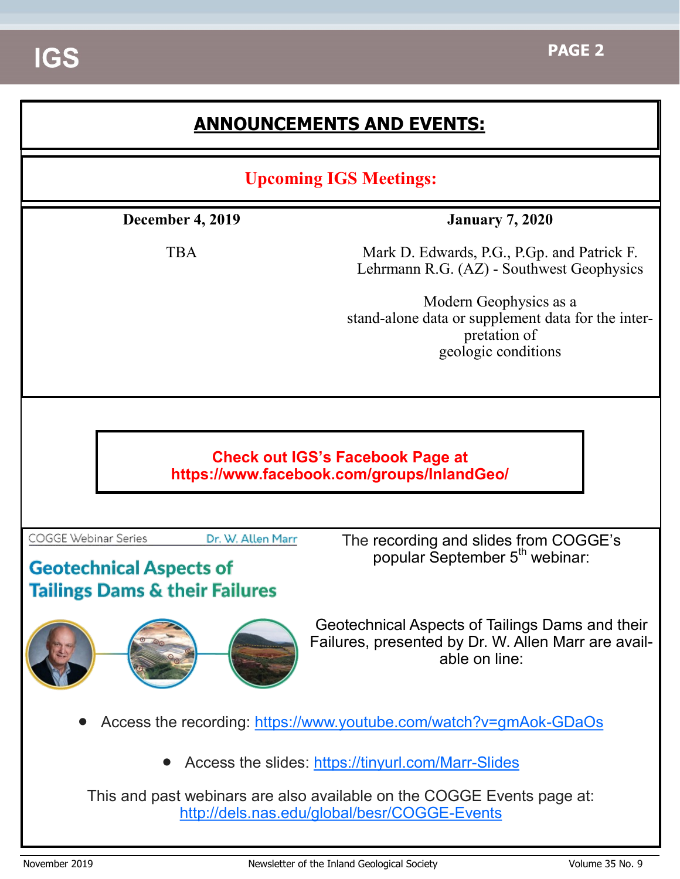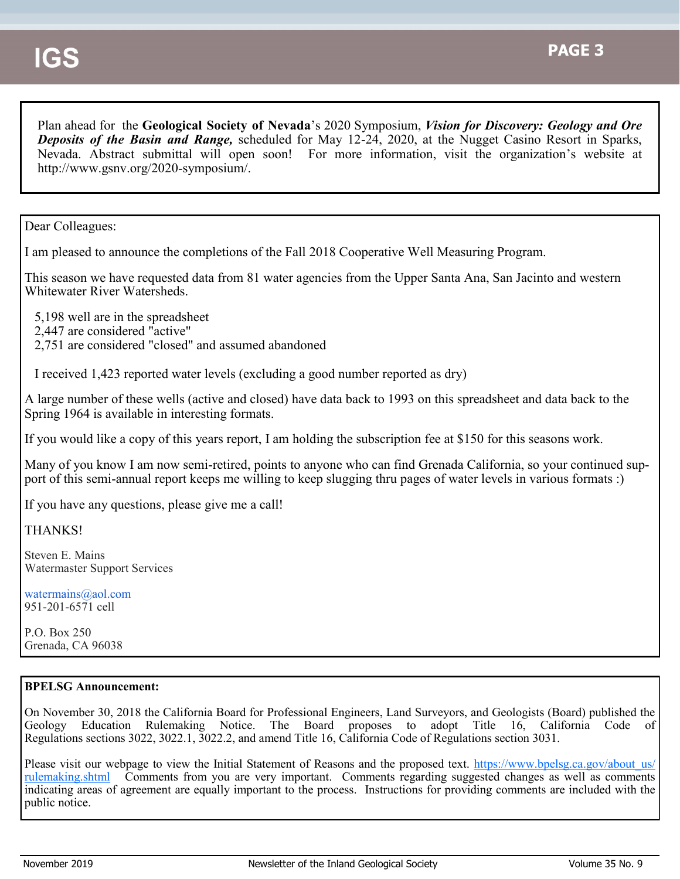Plan ahead for the **Geological Society of Nevada**'s 2020 Symposium, *Vision for Discovery: Geology and Ore Deposits of the Basin and Range,* scheduled for May 12-24, 2020, at the Nugget Casino Resort in Sparks, Nevada. Abstract submittal will open soon! For more information, visit the organization's website at http://www.gsnv.org/2020-symposium/.

Dear Colleagues:

I am pleased to announce the completions of the Fall 2018 Cooperative Well Measuring Program.

This season we have requested data from 81 water agencies from the Upper Santa Ana, San Jacinto and western Whitewater River Watersheds.

5,198 well are in the spreadsheet

2,447 are considered "active"

2,751 are considered "closed" and assumed abandoned

I received 1,423 reported water levels (excluding a good number reported as dry)

A large number of these wells (active and closed) have data back to 1993 on this spreadsheet and data back to the Spring 1964 is available in interesting formats.

If you would like a copy of this years report, I am holding the subscription fee at \$150 for this seasons work.

Many of you know I am now semi-retired, points to anyone who can find Grenada California, so your continued support of this semi-annual report keeps me willing to keep slugging thru pages of water levels in various formats :)

If you have any questions, please give me a call!

THANKS!

Steven E. Mains Watermaster Support Services

watermains@aol.com 951-201-6571 cell

P.O. Box 250 Grenada, CA 96038

#### **BPELSG Announcement:**

On November 30, 2018 the California Board for Professional Engineers, Land Surveyors, and Geologists (Board) published the Geology Education Rulemaking Notice. The Board proposes to adopt Title 16, California Code of Regulations sections 3022, 3022.1, 3022.2, and amend Title 16, California Code of Regulations section 3031.

Please visit our webpage to view the Initial Statement of Reasons and the proposed text. [https://www.bpelsg.ca.gov/about\\_us/](https://eur01.safelinks.protection.outlook.com/?url=https%3A%2F%2Fwww.bpelsg.ca.gov%2Fabout_us%2Frulemaking.shtml&data=02%7C01%7C%7C4f08124925ac4ce1cd0408d665c3bb28%7C84df9e7fe9f640afb435aaaaaaaaaaaa%7C1%7C0%7C636808288674563003&sdata=QZduFATunr1nk8L9LEqnbJPS) [rulemaking.shtml](https://eur01.safelinks.protection.outlook.com/?url=https%3A%2F%2Fwww.bpelsg.ca.gov%2Fabout_us%2Frulemaking.shtml&data=02%7C01%7C%7C4f08124925ac4ce1cd0408d665c3bb28%7C84df9e7fe9f640afb435aaaaaaaaaaaa%7C1%7C0%7C636808288674563003&sdata=QZduFATunr1nk8L9LEqnbJPS) Comments from you are very important. Comments regarding suggested changes as well as comments indicating areas of agreement are equally important to the process. Instructions for providing comments are included with the public notice.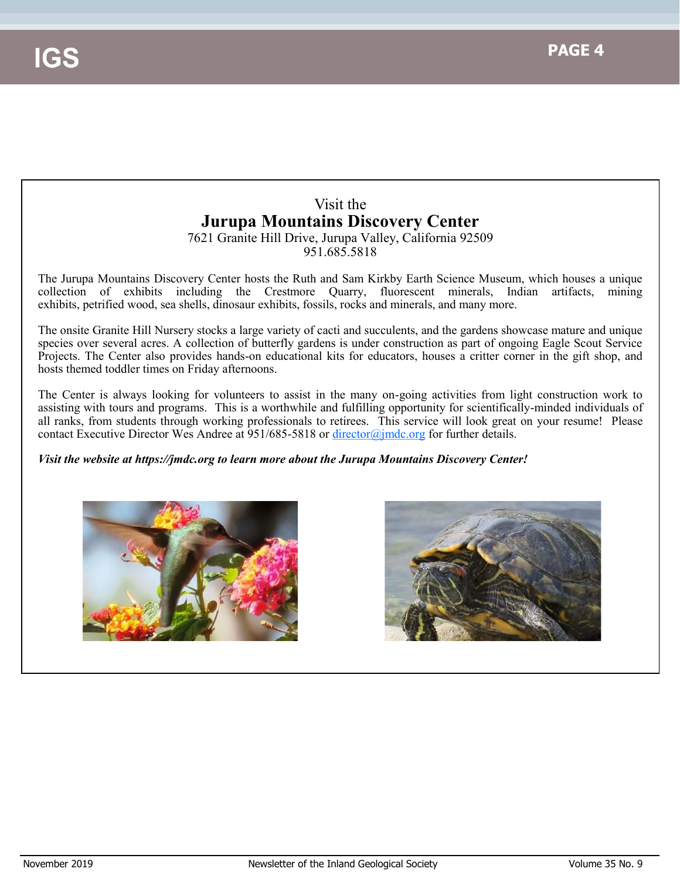# Visit the **Jurupa Mountains Discovery Center**

7621 Granite Hill Drive, Jurupa Valley, California 92509 951.685.5818

The Jurupa Mountains Discovery Center hosts the Ruth and Sam Kirkby Earth Science Museum, which houses a unique collection of exhibits including the Crestmore Quarry, fluorescent minerals, Indian artifacts, mining exhibits, petrified wood, sea shells, dinosaur exhibits, fossils, rocks and minerals, and many more.

The onsite Granite Hill Nursery stocks a large variety of cacti and succulents, and the gardens showcase mature and unique species over several acres. A collection of butterfly gardens is under construction as part of ongoing Eagle Scout Service Projects. The Center also provides hands-on educational kits for educators, houses a critter corner in the gift shop, and hosts themed toddler times on Friday afternoons.

The Center is always looking for volunteers to assist in the many on-going activities from light construction work to assisting with tours and programs. This is a worthwhile and fulfilling opportunity for scientifically-minded individuals of all ranks, from students through working professionals to retirees. This service will look great on your resume! Please contact Executive Director Wes Andree at 951/685-5818 or [director@jmdc.org](mailto:director@jmdc.org) for further details.

*Visit the website at https://jmdc.org to learn more about the Jurupa Mountains Discovery Center!*



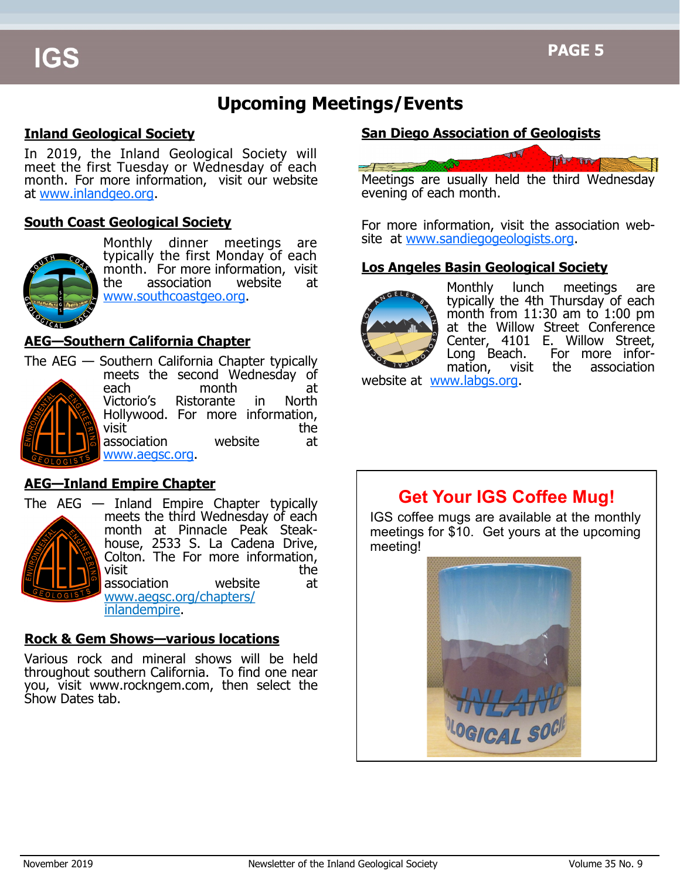# **Upcoming Meetings/Events**

#### **Inland Geological Society**

In 2019, the Inland Geological Society will meet the first Tuesday or Wednesday of each month. For more information, visit our website at [www.inlandgeo.org.](http://www.southcoastgeo.org)

#### **South Coast Geological Society**



Monthly dinner meetings are typically the first Monday of each month. For more information, visit the association website at [www.southcoastgeo.org.](http://www.southcoastgeo.org)

#### **AEG—Southern California Chapter**



The AEG — Southern California Chapter typically meets the second Wednesday of each month at Victorio's Ristorante in North Hollywood. For more information,  $\mathsf{visit}$  the state of  $\mathsf{the}$ association website at [www.aegsc.org.](http://www.aegsc.org/chapters/inlandempire/index.php)

#### **AEG—Inland Empire Chapter**



The AEG — Inland Empire Chapter typically meets the third Wednesday of each month at Pinnacle Peak Steakhouse, 2533 S. La Cadena Drive, Colton. The For more information,<br>visit<br>the visit the state of the state of the state of the state of the state of the state of the state of the state of the state of the state of the state of the state of the state of the state of the state of the state of the stat association website at [www.aegsc.org/](http://www.aegsc.org/chapters/inlandempire/index.php)chapters/ inlandempire.

#### **Rock & Gem Shows—various locations**

Various rock and mineral shows will be held throughout southern California. To find one near you, visit www.rockngem.com, then select the Show Dates tab.

#### **San Diego Association of Geologists**



For more information, visit the association website at [www.sandiegogeologists.org.](http://www.sandiegogeologists.org)

#### **Los Angeles Basin Geological Society**



Monthly lunch meetings are typically the 4th Thursday of each month from 11:30 am to 1:00 pm at the Willow Street Conference Center, 4101 E. Willow Street, Long Beach. For more information, visit the association

website at [www.labgs.org.](http://www.labgs.org)

## **Get Your IGS Coffee Mug!**

IGS coffee mugs are available at the monthly meetings for \$10. Get yours at the upcoming meeting!